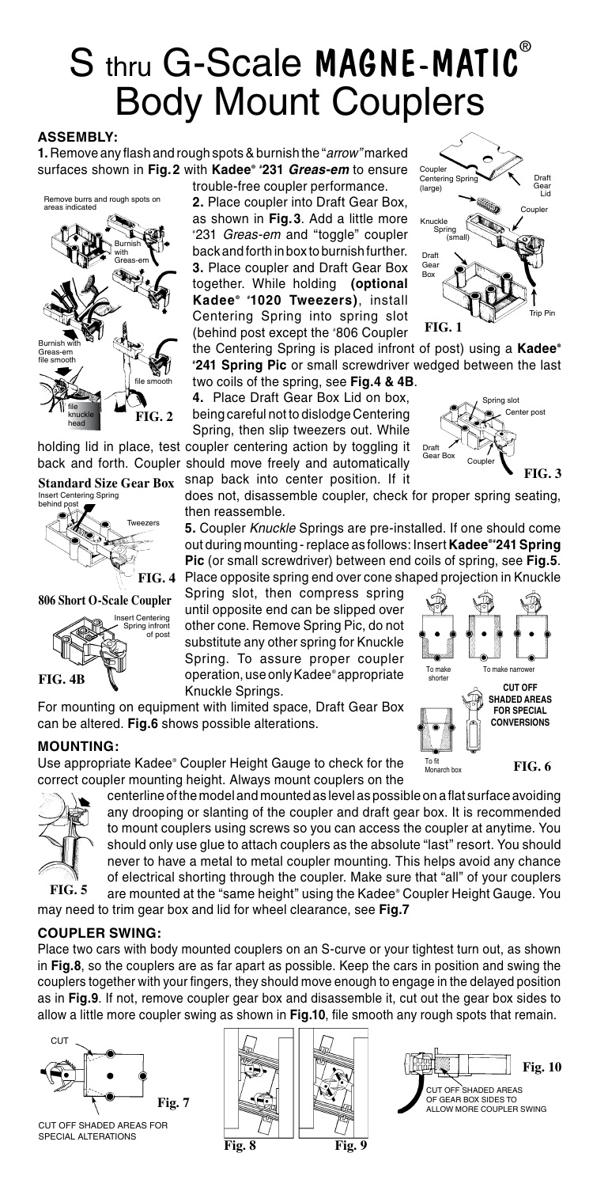# S thru G-Scale MAGNE-MATIC<sup>®</sup> Body Mount Couplers

#### **ASSEMBLY:**

**1.** Remove any flash and rough spots & burnish the "*arrow"* marked surfaces shown in **Fig.2** with **Kadee® # 231** *Greas-em* to ensure

**FIG. 2** we burrs and rough spots on areas indicated Burnish with Greas-em file smooth file smooth Burnish with Greas-em file knuckle

Standard Size Gear Box snap back into center position. If it

head



**806 Short O-Scale Coupler**



trouble-free coupler performance.

**2.** Place coupler into Draft Gear Box, as shown in **Fig.3**. Add a little more # 231 *Greas-em* and "toggle" coupler back and forth in box to burnish further. **3.** Place coupler and Draft Gear Box together. While holding **(optional Kadee ® # 1020 Tweezers)**, install Centering Spring into spring slot (behind post except the # 806 Coupler

Trip Pin Coupler **FIG. 1** Draft Gear Lid  $\sim$ Centering Sp (large) Kn Spring (small) Draft Gear Box

the Centering Spring is placed infront of post) using a **Kadee® # 241 Spring Pic** or small screwdriver wedged between the last two coils of the spring, see **Fig.4 & 4B**.

**4.** Place Draft Gear Box Lid on box, being careful not to dislodge Centering

Spring, then slip tweezers out. While holding lid in place, test coupler centering action by toggling it back and forth. Coupler should move freely and automatically



**CUT OFF SHADED AREAS FOR SPECIAL CONVERSIONS**

**FIG. 6**

does not, disassemble coupler, check for proper spring seating, then reassemble.

**5.** Coupler *Knuckle* Springs are pre-installed. If one should come out during mounting - replace as follows: Insert Kadee<sup>®</sup> 241 Spring **Pic** (or small screwdriver) between end coils of spring, see **Fig.5**. FIG. 4 Place opposite spring end over cone shaped projection in Knuckle

> To ma shorter

To fit Monarch box

Spring slot, then compress spring until opposite end can be slipped over other cone. Remove Spring Pic, do not substitute any other spring for Knuckle Spring. To assure proper coupler operation, use only Kadee® appropriate Knuckle Springs.

For mounting on equipment with limited space, Draft Gear Box can be altered. **Fig.6** shows possible alterations.

#### **MOUNTING:**

Use appropriate Kadee® Coupler Height Gauge to check for the correct coupler mounting height. Always mount couplers on the



centerline of the model and mounted as level as possible on a flat surface avoiding any drooping or slanting of the coupler and draft gear box. It is recommended to mount couplers using screws so you can access the coupler at anytime. You should only use glue to attach couplers as the absolute "last" resort. You should never to have a metal to metal coupler mounting. This helps avoid any chance of electrical shorting through the coupler. Make sure that "all" of your couplers are mounted at the "same height" using the Kadee® Coupler Height Gauge. You

may need to trim gear box and lid for wheel clearance, see **Fig.7**

#### **COUPLER SWING:**

Place two cars with body mounted couplers on an S-curve or your tightest turn out, as shown in **Fig.8**, so the couplers are as far apart as possible. Keep the cars in position and swing the couplers together with your fingers, they should move enough to engage in the delayed position as in **Fig.9**. If not, remove coupler gear box and disassemble it, cut out the gear box sides to allow a little more coupler swing as shown in **Fig.10**, file smooth any rough spots that remain.



CUT OFF SHADED AREAS FOR SPECIAL ALTERATIONS